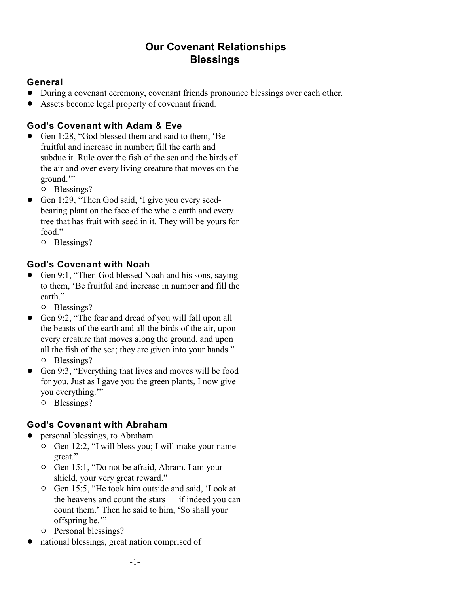# **Our Covenant Relationships Blessings**

## **General**

- ! During a covenant ceremony, covenant friends pronounce blessings over each other.
- ! Assets become legal property of covenant friend.

# **God's Covenant with Adam & Eve**

- Gen 1:28, "God blessed them and said to them, 'Be fruitful and increase in number; fill the earth and subdue it. Rule over the fish of the sea and the birds of the air and over every living creature that moves on the ground."
	- $\circ$  Blessings?
- Gen 1:29, "Then God said, 'I give you every seedbearing plant on the face of the whole earth and every tree that has fruit with seed in it. They will be yours for food."
	- $O$  Blessings?

## **God's Covenant with Noah**

Gen 9:1, "Then God blessed Noah and his sons, saying to them, 'Be fruitful and increase in number and fill the earth."

 $O$  Blessings?

- ! Gen 9:2, "The fear and dread of you will fall upon all the beasts of the earth and all the birds of the air, upon every creature that moves along the ground, and upon all the fish of the sea; they are given into your hands."  $O$  Blessings?
- ! Gen 9:3, "Everything that lives and moves will be food for you. Just as I gave you the green plants, I now give you everything."
	- $O$  Blessings?

## **God's Covenant with Abraham**

- ! personal blessings, to Abraham
	- $\circ$  Gen 12:2, "I will bless you; I will make your name great."
	- <sup>o</sup> Gen 15:1, "Do not be afraid, Abram. I am your shield, your very great reward."
	- <sup>o</sup> Gen 15:5, "He took him outside and said, 'Look at the heavens and count the stars — if indeed you can count them.' Then he said to him, 'So shall your offspring be.'"
	- $\circ$  Personal blessings?
- national blessings, great nation comprised of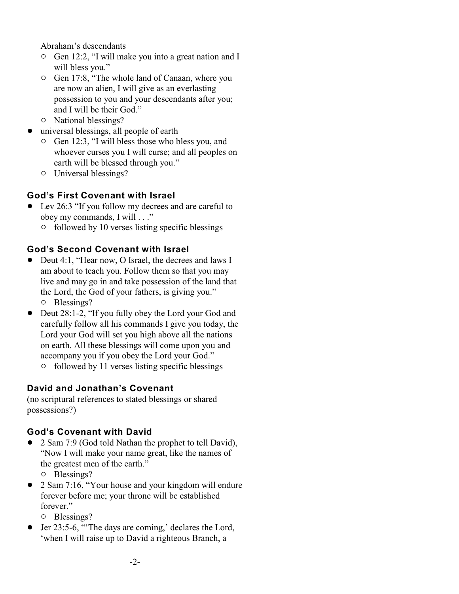Abraham's descendants

- $\circ$  Gen 12:2, "I will make you into a great nation and I will bless you."
- <sup>o</sup> Gen 17:8, "The whole land of Canaan, where you are now an alien, I will give as an everlasting possession to you and your descendants after you; and I will be their God."
- $\circ$  National blessings?
- universal blessings, all people of earth
	- $\circ$  Gen 12:3, "I will bless those who bless you, and whoever curses you I will curse; and all peoples on earth will be blessed through you."
	- $\circ$  Universal blessings?

## **God's First Covenant with Israel**

- ! Lev 26:3 "If you follow my decrees and are careful to obey my commands, I will . . ."
	- $\circ$  followed by 10 verses listing specific blessings

## **God's Second Covenant with Israel**

- ! Deut 4:1, "Hear now, O Israel, the decrees and laws I am about to teach you. Follow them so that you may live and may go in and take possession of the land that the Lord, the God of your fathers, is giving you."  $O$  Blessings?
- Deut 28:1-2, "If you fully obey the Lord your God and carefully follow all his commands I give you today, the Lord your God will set you high above all the nations on earth. All these blessings will come upon you and accompany you if you obey the Lord your God."
	- $\circ$  followed by 11 verses listing specific blessings

#### **David and Jonathan's Covenant**

(no scriptural references to stated blessings or shared possessions?)

#### **God's Covenant with David**

- 2 Sam 7:9 (God told Nathan the prophet to tell David), "Now I will make your name great, like the names of the greatest men of the earth."
	- $O$  Blessings?
- 2 Sam 7:16, "Your house and your kingdom will endure forever before me; your throne will be established forever."
	- $O$  Blessings?
- ! Jer 23:5-6, "'The days are coming,' declares the Lord, 'when I will raise up to David a righteous Branch, a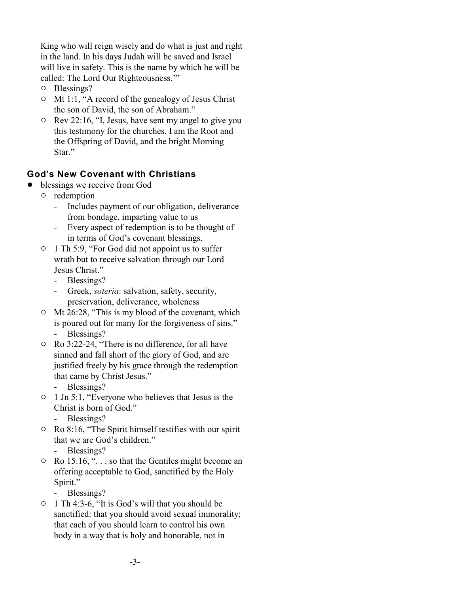King who will reign wisely and do what is just and right in the land. In his days Judah will be saved and Israel will live in safety. This is the name by which he will be called: The Lord Our Righteousness.'"

- $O$  Blessings?
- $\circ$  Mt 1:1, "A record of the genealogy of Jesus Christ the son of David, the son of Abraham."
- $\circ$  Rev 22:16, "I, Jesus, have sent my angel to give you this testimony for the churches. I am the Root and the Offspring of David, and the bright Morning Star."

## **God's New Covenant with Christians**

- blessings we receive from God
	- $\circ$  redemption
		- Includes payment of our obligation, deliverance from bondage, imparting value to us
		- Every aspect of redemption is to be thought of in terms of God's covenant blessings.
	- $\circ$  1 Th 5:9, "For God did not appoint us to suffer wrath but to receive salvation through our Lord Jesus Christ."
		- Blessings?
		- Greek, *soteria*: salvation, safety, security, preservation, deliverance, wholeness
	- $\circ$  Mt 26:28, "This is my blood of the covenant, which is poured out for many for the forgiveness of sins." - Blessings?
	- Ro 3:22-24, "There is no difference, for all have sinned and fall short of the glory of God, and are justified freely by his grace through the redemption that came by Christ Jesus."
		- Blessings?
	- $\circ$  1 Jn 5:1, "Everyone who believes that Jesus is the Christ is born of God."

Blessings?

 $\circ$  Ro 8:16, "The Spirit himself testifies with our spirit that we are God's children."

- Blessings?

 $\circ$  Ro 15:16, "... so that the Gentiles might become an offering acceptable to God, sanctified by the Holy Spirit."

- Blessings?

<sup>o</sup> 1 Th 4:3-6, "It is God's will that you should be sanctified: that you should avoid sexual immorality; that each of you should learn to control his own body in a way that is holy and honorable, not in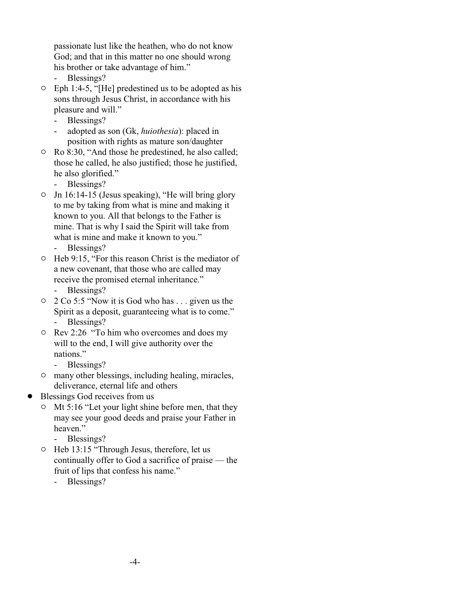passionate lust like the heathen, who do not know God; and that in this matter no one should wrong his brother or take advantage of him."

- Blessings?
- $\circ$  Eph 1:4-5, "[He] predestined us to be adopted as his sons through Jesus Christ, in accordance with his pleasure and will."
	- Blessings?
	- adopted as son (Gk, *huiothesia*): placed in position with rights as mature son/daughter
- $\circ$  Ro 8:30, "And those he predestined, he also called; those he called, he also justified; those he justified, he also glorified."

- Blessings?

- $\circ$  Jn 16:14-15 (Jesus speaking), "He will bring glory to me by taking from what is mine and making it known to you. All that belongs to the Father is mine. That is why I said the Spirit will take from what is mine and make it known to you."
	- Blessings?
- $\circ$  Heb 9:15, "For this reason Christ is the mediator of a new covenant, that those who are called may receive the promised eternal inheritance."
	- Blessings?
- " 2 Co 5:5 "Now it is God who has . . . given us the Spirit as a deposit, guaranteeing what is to come." - Blessings?
- $\circ$  Rev 2:26 "To him who overcomes and does my will to the end, I will give authority over the nations."
	- Blessings?
- $\circ$  many other blessings, including healing, miracles, deliverance, eternal life and others
- ! Blessings God receives from us
	- $\circ$  Mt 5:16 "Let your light shine before men, that they may see your good deeds and praise your Father in heaven."
		- Blessings?
	- $\circ$  Heb 13:15 "Through Jesus, therefore, let us continually offer to God a sacrifice of praise — the fruit of lips that confess his name."
		- Blessings?